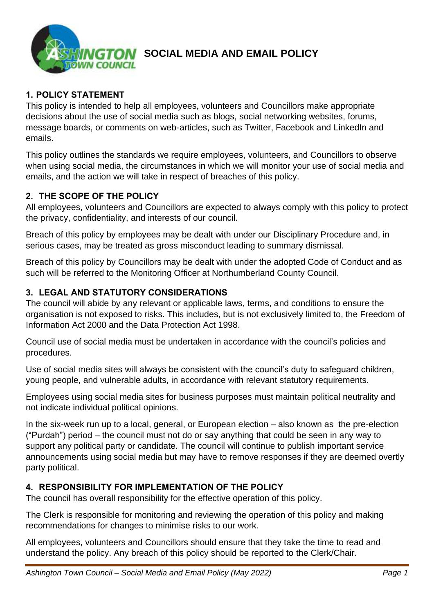

## **SOCIAL MEDIA AND EMAIL POLICY**

## **1. POLICY STATEMENT**

This policy is intended to help all employees, volunteers and Councillors make appropriate decisions about the use of social media such as blogs, social networking websites, forums, message boards, or comments on web-articles, such as Twitter, Facebook and LinkedIn and emails.

This policy outlines the standards we require employees, volunteers, and Councillors to observe when using social media, the circumstances in which we will monitor your use of social media and emails, and the action we will take in respect of breaches of this policy.

#### **2. THE SCOPE OF THE POLICY**

All employees, volunteers and Councillors are expected to always comply with this policy to protect the privacy, confidentiality, and interests of our council.

Breach of this policy by employees may be dealt with under our Disciplinary Procedure and, in serious cases, may be treated as gross misconduct leading to summary dismissal.

Breach of this policy by Councillors may be dealt with under the adopted Code of Conduct and as such will be referred to the Monitoring Officer at Northumberland County Council.

### **3. LEGAL AND STATUTORY CONSIDERATIONS**

The council will abide by any relevant or applicable laws, terms, and conditions to ensure the organisation is not exposed to risks. This includes, but is not exclusively limited to, the Freedom of Information Act 2000 and the Data Protection Act 1998.

Council use of social media must be undertaken in accordance with the council's policies and procedures.

Use of social media sites will always be consistent with the council's duty to safeguard children, young people, and vulnerable adults, in accordance with relevant statutory requirements.

Employees using social media sites for business purposes must maintain political neutrality and not indicate individual political opinions.

In the six-week run up to a local, general, or European election – also known as the pre-election ("Purdah") period – the council must not do or say anything that could be seen in any way to support any political party or candidate. The council will continue to publish important service announcements using social media but may have to remove responses if they are deemed overtly party political.

#### **4. RESPONSIBILITY FOR IMPLEMENTATION OF THE POLICY**

The council has overall responsibility for the effective operation of this policy.

The Clerk is responsible for monitoring and reviewing the operation of this policy and making recommendations for changes to minimise risks to our work.

All employees, volunteers and Councillors should ensure that they take the time to read and understand the policy. Any breach of this policy should be reported to the Clerk/Chair.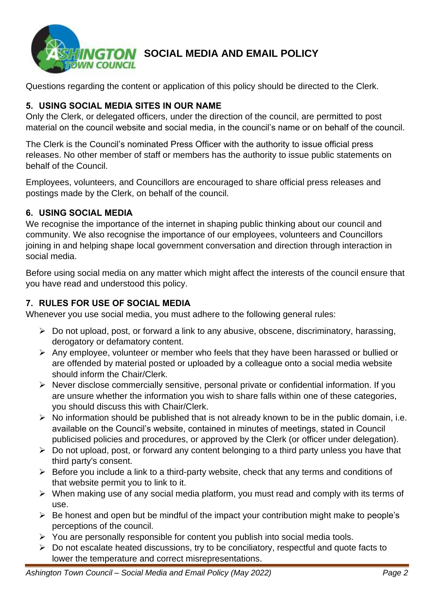

# **GTON** SOCIAL MEDIA AND EMAIL POLICY

Questions regarding the content or application of this policy should be directed to the Clerk.

### **5. USING SOCIAL MEDIA SITES IN OUR NAME**

Only the Clerk, or delegated officers, under the direction of the council, are permitted to post material on the council website and social media, in the council's name or on behalf of the council.

The Clerk is the Council's nominated Press Officer with the authority to issue official press releases. No other member of staff or members has the authority to issue public statements on behalf of the Council.

Employees, volunteers, and Councillors are encouraged to share official press releases and postings made by the Clerk, on behalf of the council.

#### **6. USING SOCIAL MEDIA**

We recognise the importance of the internet in shaping public thinking about our council and community. We also recognise the importance of our employees, volunteers and Councillors joining in and helping shape local government conversation and direction through interaction in social media.

Before using social media on any matter which might affect the interests of the council ensure that you have read and understood this policy.

## **7. RULES FOR USE OF SOCIAL MEDIA**

Whenever you use social media, you must adhere to the following general rules:

- ➢ Do not upload, post, or forward a link to any abusive, obscene, discriminatory, harassing, derogatory or defamatory content.
- ➢ Any employee, volunteer or member who feels that they have been harassed or bullied or are offended by material posted or uploaded by a colleague onto a social media website should inform the Chair/Clerk.
- ➢ Never disclose commercially sensitive, personal private or confidential information. If you are unsure whether the information you wish to share falls within one of these categories, you should discuss this with Chair/Clerk.
- $\triangleright$  No information should be published that is not already known to be in the public domain, i.e. available on the Council's website, contained in minutes of meetings, stated in Council publicised policies and procedures, or approved by the Clerk (or officer under delegation).
- $\triangleright$  Do not upload, post, or forward any content belonging to a third party unless you have that third party's consent.
- ➢ Before you include a link to a third-party website, check that any terms and conditions of that website permit you to link to it.
- ➢ When making use of any social media platform, you must read and comply with its terms of use.
- ➢ Be honest and open but be mindful of the impact your contribution might make to people's perceptions of the council.
- ➢ You are personally responsible for content you publish into social media tools.
- ➢ Do not escalate heated discussions, try to be conciliatory, respectful and quote facts to lower the temperature and correct misrepresentations.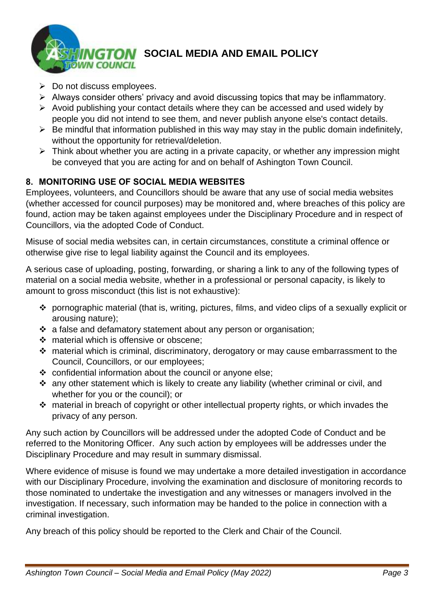

- ➢ Do not discuss employees.
- ➢ Always consider others' privacy and avoid discussing topics that may be inflammatory.
- ➢ Avoid publishing your contact details where they can be accessed and used widely by people you did not intend to see them, and never publish anyone else's contact details.
- $\triangleright$  Be mindful that information published in this way may stay in the public domain indefinitely, without the opportunity for retrieval/deletion.
- ➢ Think about whether you are acting in a private capacity, or whether any impression might be conveyed that you are acting for and on behalf of Ashington Town Council.

### **8. MONITORING USE OF SOCIAL MEDIA WEBSITES**

Employees, volunteers, and Councillors should be aware that any use of social media websites (whether accessed for council purposes) may be monitored and, where breaches of this policy are found, action may be taken against employees under the Disciplinary Procedure and in respect of Councillors, via the adopted Code of Conduct.

Misuse of social media websites can, in certain circumstances, constitute a criminal offence or otherwise give rise to legal liability against the Council and its employees.

A serious case of uploading, posting, forwarding, or sharing a link to any of the following types of material on a social media website, whether in a professional or personal capacity, is likely to amount to gross misconduct (this list is not exhaustive):

- ❖ pornographic material (that is, writing, pictures, films, and video clips of a sexually explicit or arousing nature);
- ❖ a false and defamatory statement about any person or organisation;
- ❖ material which is offensive or obscene;
- ❖ material which is criminal, discriminatory, derogatory or may cause embarrassment to the Council, Councillors, or our employees;
- ❖ confidential information about the council or anyone else;
- ❖ any other statement which is likely to create any liability (whether criminal or civil, and whether for you or the council); or
- ❖ material in breach of copyright or other intellectual property rights, or which invades the privacy of any person.

Any such action by Councillors will be addressed under the adopted Code of Conduct and be referred to the Monitoring Officer. Any such action by employees will be addresses under the Disciplinary Procedure and may result in summary dismissal.

Where evidence of misuse is found we may undertake a more detailed investigation in accordance with our Disciplinary Procedure, involving the examination and disclosure of monitoring records to those nominated to undertake the investigation and any witnesses or managers involved in the investigation. If necessary, such information may be handed to the police in connection with a criminal investigation.

Any breach of this policy should be reported to the Clerk and Chair of the Council.